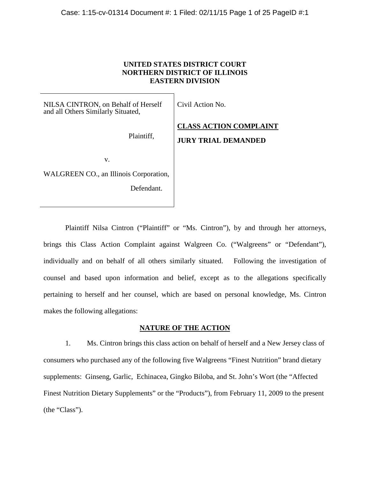# **UNITED STATES DISTRICT COURT NORTHERN DISTRICT OF ILLINOIS EASTERN DIVISION**

NILSA CINTRON, on Behalf of Herself and all Others Similarly Situated,

Plaintiff,

Civil Action No.

**CLASS ACTION COMPLAINT JURY TRIAL DEMANDED**

v.

WALGREEN CO., an Illinois Corporation,

Defendant.

Plaintiff Nilsa Cintron ("Plaintiff" or "Ms. Cintron"), by and through her attorneys, brings this Class Action Complaint against Walgreen Co. ("Walgreens" or "Defendant"), individually and on behalf of all others similarly situated. Following the investigation of counsel and based upon information and belief, except as to the allegations specifically pertaining to herself and her counsel, which are based on personal knowledge, Ms. Cintron makes the following allegations:

# **NATURE OF THE ACTION**

<span id="page-0-0"></span>1. Ms. Cintron brings this class action on behalf of herself and a New Jersey class of consumers who purchased any of the following five Walgreens "Finest Nutrition" brand dietary supplements: Ginseng, Garlic, Echinacea, Gingko Biloba, and St. John's Wort (the "Affected Finest Nutrition Dietary Supplements" or the "Products"), from February 11, 2009 to the present (the "Class").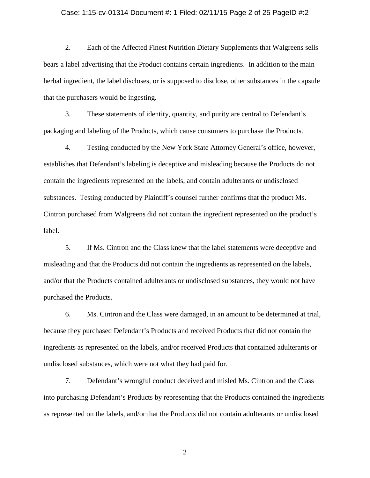### Case: 1:15-cv-01314 Document #: 1 Filed: 02/11/15 Page 2 of 25 PageID #:2

2. Each of the Affected Finest Nutrition Dietary Supplements that Walgreens sells bears a label advertising that the Product contains certain ingredients. In addition to the main herbal ingredient, the label discloses, or is supposed to disclose, other substances in the capsule that the purchasers would be ingesting.

3. These statements of identity, quantity, and purity are central to Defendant's packaging and labeling of the Products, which cause consumers to purchase the Products.

4. Testing conducted by the New York State Attorney General's office, however, establishes that Defendant's labeling is deceptive and misleading because the Products do not contain the ingredients represented on the labels, and contain adulterants or undisclosed substances. Testing conducted by Plaintiff's counsel further confirms that the product Ms. Cintron purchased from Walgreens did not contain the ingredient represented on the product's label.

5. If Ms. Cintron and the Class knew that the label statements were deceptive and misleading and that the Products did not contain the ingredients as represented on the labels, and/or that the Products contained adulterants or undisclosed substances, they would not have purchased the Products.

6. Ms. Cintron and the Class were damaged, in an amount to be determined at trial, because they purchased Defendant's Products and received Products that did not contain the ingredients as represented on the labels, and/or received Products that contained adulterants or undisclosed substances, which were not what they had paid for.

7. Defendant's wrongful conduct deceived and misled Ms. Cintron and the Class into purchasing Defendant's Products by representing that the Products contained the ingredients as represented on the labels, and/or that the Products did not contain adulterants or undisclosed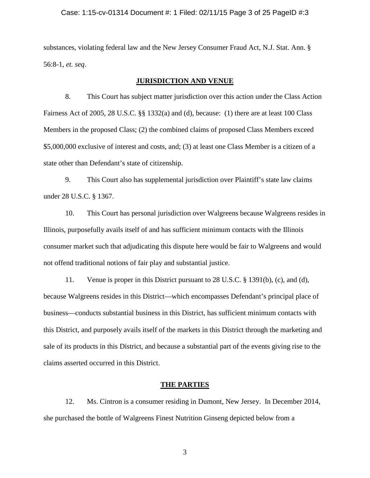### Case: 1:15-cv-01314 Document #: 1 Filed: 02/11/15 Page 3 of 25 PageID #:3

substances, violating federal law and the New Jersey Consumer Fraud Act, N.J. Stat. Ann. § 56:8-1, *et. seq*.

## **JURISDICTION AND VENUE**

8. This Court has subject matter jurisdiction over this action under the Class Action Fairness Act of 2005, 28 U.S.C. §§ 1332(a) and (d), because: (1) there are at least 100 Class Members in the proposed Class; (2) the combined claims of proposed Class Members exceed \$5,000,000 exclusive of interest and costs, and; (3) at least one Class Member is a citizen of a state other than Defendant's state of citizenship.

9. This Court also has supplemental jurisdiction over Plaintiff's state law claims under 28 U.S.C. § 1367.

10. This Court has personal jurisdiction over Walgreens because Walgreens resides in Illinois, purposefully avails itself of and has sufficient minimum contacts with the Illinois consumer market such that adjudicating this dispute here would be fair to Walgreens and would not offend traditional notions of fair play and substantial justice.

11. Venue is proper in this District pursuant to 28 U.S.C. § 1391(b), (c), and (d), because Walgreens resides in this District—which encompasses Defendant's principal place of business—conducts substantial business in this District, has sufficient minimum contacts with this District, and purposely avails itself of the markets in this District through the marketing and sale of its products in this District, and because a substantial part of the events giving rise to the claims asserted occurred in this District.

## **THE PARTIES**

12. Ms. Cintron is a consumer residing in Dumont, New Jersey. In December 2014, she purchased the bottle of Walgreens Finest Nutrition Ginseng depicted below from a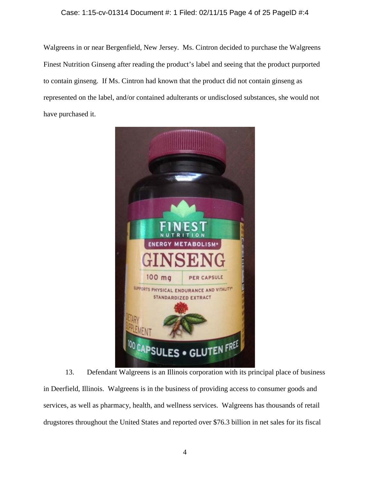## Case: 1:15-cv-01314 Document #: 1 Filed: 02/11/15 Page 4 of 25 PageID #:4

Walgreens in or near Bergenfield, New Jersey. Ms. Cintron decided to purchase the Walgreens Finest Nutrition Ginseng after reading the product's label and seeing that the product purported to contain ginseng. If Ms. Cintron had known that the product did not contain ginseng as represented on the label, and/or contained adulterants or undisclosed substances, she would not have purchased it.



13. Defendant Walgreens is an Illinois corporation with its principal place of business in Deerfield, Illinois. Walgreens is in the business of providing access to consumer goods and services, as well as pharmacy, health, and wellness services. Walgreens has thousands of retail drugstores throughout the United States and reported over \$76.3 billion in net sales for its fiscal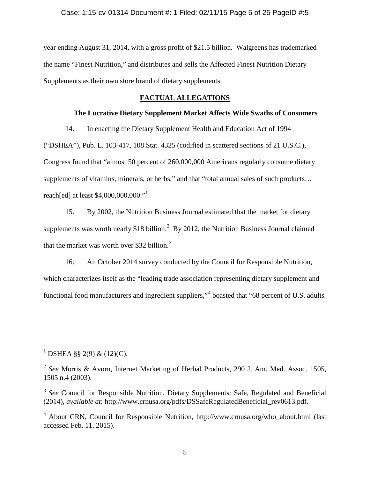year ending August 31, 2014, with a gross profit of \$21.5 billion. Walgreens has trademarked the name "Finest Nutrition," and distributes and sells the Affected Finest Nutrition Dietary Supplements as their own store brand of dietary supplements.

# **FACTUAL ALLEGATIONS**

## **The Lucrative Dietary Supplement Market Affects Wide Swaths of Consumers**

14. In enacting the Dietary Supplement Health and Education Act of 1994

("DSHEA"), Pub. L. 103-417, 108 Stat. 4325 (codified in scattered sections of 21 U.S.C.), Congress found that "almost 50 percent of 260,000,000 Americans regularly consume dietary supplements of vitamins, minerals, or herbs," and that "total annual sales of such products... reach[ed] at least  $$4,000,000,000."$ <sup>[1](#page-0-0)</sup>

15. By 2002, the Nutrition Business Journal estimated that the market for dietary supplements was worth nearly \$18 billion.<sup>[2](#page-4-0)</sup> By 2012, the Nutrition Business Journal claimed that the market was worth over \$[3](#page-4-1)2 billion.<sup>3</sup>

16. An October 2014 survey conducted by the Council for Responsible Nutrition, which characterizes itself as the "leading trade association representing dietary supplement and functional food manufacturers and ingredient suppliers,"<sup>[4](#page-4-2)</sup> boasted that "68 percent of U.S. adults

<sup>&</sup>lt;sup>1</sup> DSHEA §§ 2(9) & (12)(C).

<span id="page-4-0"></span><sup>2</sup> *See* Morris & Avorn, Internet Marketing of Herbal Products, 290 J. Am. Med. Assoc. 1505, 1505 n.4 (2003).

<span id="page-4-3"></span><span id="page-4-1"></span><sup>&</sup>lt;sup>3</sup> See Council for Responsible Nutrition, Dietary Supplements: Safe, Regulated and Beneficial (2014), *available at*: http://www.crnusa.org/pdfs/DSSafeRegulatedBeneficial\_rev0613.pdf.

<span id="page-4-2"></span> $4$  About CRN, Council for Responsible Nutrition, http://www.crnusa.org/who\_about.html (last accessed Feb. 11, 2015).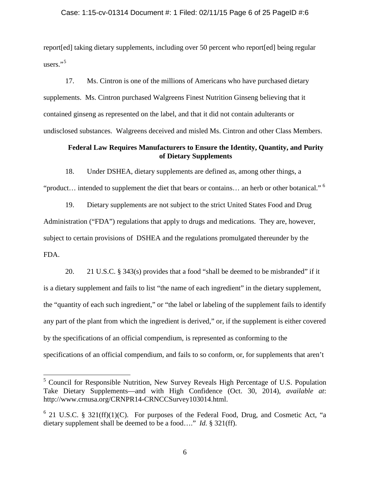## Case: 1:15-cv-01314 Document #: 1 Filed: 02/11/15 Page 6 of 25 PageID #:6

report[ed] taking dietary supplements, including over 50 percent who report[ed] being regular users."<sup>[5](#page-4-3)</sup>

17. Ms. Cintron is one of the millions of Americans who have purchased dietary supplements. Ms. Cintron purchased Walgreens Finest Nutrition Ginseng believing that it contained ginseng as represented on the label, and that it did not contain adulterants or undisclosed substances. Walgreens deceived and misled Ms. Cintron and other Class Members.

## **Federal Law Requires Manufacturers to Ensure the Identity, Quantity, and Purity of Dietary Supplements**

18. Under DSHEA, dietary supplements are defined as, among other things, a

"product… intended to supplement the diet that bears or contains… an herb or other botanical." [6](#page-5-0)

19. Dietary supplements are not subject to the strict United States Food and Drug Administration ("FDA") regulations that apply to drugs and medications. They are, however, subject to certain provisions of DSHEA and the regulations promulgated thereunder by the FDA.

20. 21 U.S.C. § 343(s) provides that a food "shall be deemed to be misbranded" if it is a dietary supplement and fails to list "the name of each ingredient" in the dietary supplement, the "quantity of each such ingredient," or "the label or labeling of the supplement fails to identify any part of the plant from which the ingredient is derived," or, if the supplement is either covered by the specifications of an official compendium, is represented as conforming to the specifications of an official compendium, and fails to so conform, or, for supplements that aren't

<span id="page-5-1"></span><sup>&</sup>lt;sup>5</sup> Council for Responsible Nutrition, New Survey Reveals High Percentage of U.S. Population Take Dietary Supplements—and with High Confidence (Oct. 30, 2014), *available at*: http://www.crnusa.org/CRNPR14-CRNCCSurvey103014.html.

<span id="page-5-0"></span> $6$  21 U.S.C. § 321(ff)(1)(C). For purposes of the Federal Food, Drug, and Cosmetic Act, "a dietary supplement shall be deemed to be a food…." *Id.* § 321(ff).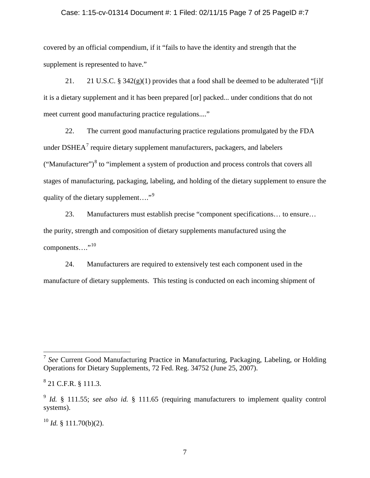### Case: 1:15-cv-01314 Document #: 1 Filed: 02/11/15 Page 7 of 25 PageID #:7

covered by an official compendium, if it "fails to have the identity and strength that the supplement is represented to have."

21. 21 U.S.C. §  $342(g)(1)$  provides that a food shall be deemed to be adulterated "[i]f it is a dietary supplement and it has been prepared [or] packed... under conditions that do not meet current good manufacturing practice regulations...."

22. The current good manufacturing practice regulations promulgated by the FDA under  $DSHEA<sup>7</sup>$  $DSHEA<sup>7</sup>$  $DSHEA<sup>7</sup>$  require dietary supplement manufacturers, packagers, and labelers ("Manufacturer")<sup>[8](#page-6-0)</sup> to "implement a system of production and process controls that covers all stages of manufacturing, packaging, labeling, and holding of the dietary supplement to ensure the quality of the dietary supplement...."<sup>[9](#page-6-1)</sup>

23. Manufacturers must establish precise "component specifications… to ensure… the purity, strength and composition of dietary supplements manufactured using the components…."<sup>[10](#page-6-2)</sup>

24. Manufacturers are required to extensively test each component used in the manufacture of dietary supplements. This testing is conducted on each incoming shipment of

<span id="page-6-2"></span> $10$  *Id.* § 111.70(b)(2).

<span id="page-6-3"></span> <sup>7</sup> *See* Current Good Manufacturing Practice in Manufacturing, Packaging, Labeling, or Holding Operations for Dietary Supplements, 72 Fed. Reg. 34752 (June 25, 2007).

<span id="page-6-0"></span> $8$  21 C.F.R. § 111.3.

<span id="page-6-1"></span><sup>9</sup> *Id.* § 111.55; *see also id.* § 111.65 (requiring manufacturers to implement quality control systems).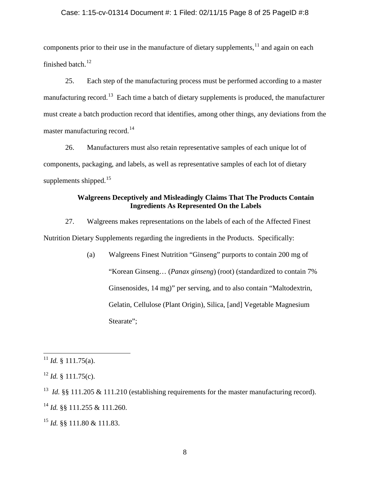## Case: 1:15-cv-01314 Document #: 1 Filed: 02/11/15 Page 8 of 25 PageID #:8

components prior to their use in the manufacture of dietary supplements,  $11$  and again on each finished batch. $12$ 

25. Each step of the manufacturing process must be performed according to a master manufacturing record.<sup>[13](#page-7-1)</sup> Each time a batch of dietary supplements is produced, the manufacturer must create a batch production record that identifies, among other things, any deviations from the master manufacturing record.<sup>[14](#page-7-2)</sup>

26. Manufacturers must also retain representative samples of each unique lot of components, packaging, and labels, as well as representative samples of each lot of dietary supplements shipped. $15$ 

# **Walgreens Deceptively and Misleadingly Claims That The Products Contain Ingredients As Represented On the Labels**

27. Walgreens makes representations on the labels of each of the Affected Finest Nutrition Dietary Supplements regarding the ingredients in the Products. Specifically:

> (a) Walgreens Finest Nutrition "Ginseng" purports to contain 200 mg of "Korean Ginseng… (*Panax ginseng*) (root) (standardized to contain 7% Ginsenosides, 14 mg)" per serving, and to also contain "Maltodextrin, Gelatin, Cellulose (Plant Origin), Silica, [and] Vegetable Magnesium Stearate";

<sup>&</sup>lt;sup>11</sup> *Id.* § 111.75(a).

<span id="page-7-0"></span> $12$  *Id.* § 111.75(c).

<span id="page-7-1"></span><sup>&</sup>lt;sup>13</sup> *Id.* §§ 111.205 & 111.210 (establishing requirements for the master manufacturing record).

<span id="page-7-4"></span><span id="page-7-2"></span><sup>14</sup> *Id.* §§ 111.255 & 111.260.

<span id="page-7-3"></span><sup>15</sup> *Id.* §§ 111.80 & 111.83.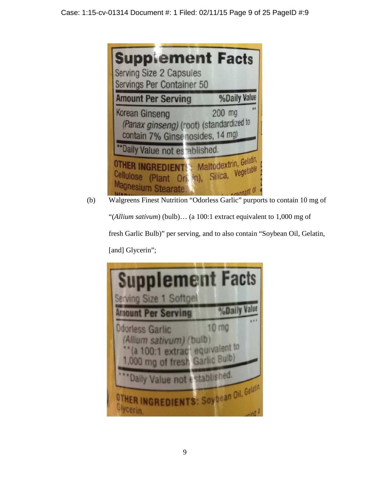| <b>Supplement Facts</b><br><b>Serving Size 2 Capsules</b><br>Servings Per Container 50              |                     |
|-----------------------------------------------------------------------------------------------------|---------------------|
| <b>Amount Per Serving</b>                                                                           | <b>%Daily Value</b> |
| <b>Korean Ginseng</b><br>(Panax ginseng) (root) (standardized to<br>contain 7% Ginsenosides, 14 mg) | 安大<br>$200$ mg      |
| ** Daily Value not es ablished.                                                                     |                     |
| <b>OTHER INGREDIENT :</b> Maltodextrin, Gelatin,<br>Cellulose (Plant Origin), Silica, Vegetable     |                     |

(b) Walgreens Finest Nutrition "Odorless Garlic" purports to contain 10 mg of "(*Allium sativum*) (bulb)… (a 100:1 extract equivalent to 1,000 mg of fresh Garlic Bulb)" per serving, and to also contain "Soybean Oil, Gelatin, [and] Glycerin";

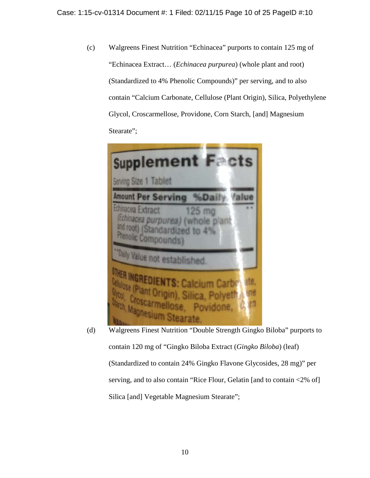(c) Walgreens Finest Nutrition "Echinacea" purports to contain 125 mg of "Echinacea Extract… (*Echinacea purpurea*) (whole plant and root) (Standardized to 4% Phenolic Compounds)" per serving, and to also contain "Calcium Carbonate, Cellulose (Plant Origin), Silica, Polyethylene Glycol, Croscarmellose, Providone, Corn Starch, [and] Magnesium Stearate";



(d) Walgreens Finest Nutrition "Double Strength Gingko Biloba" purports to contain 120 mg of "Gingko Biloba Extract (*Gingko Biloba*) (leaf) (Standardized to contain 24% Gingko Flavone Glycosides, 28 mg)" per serving, and to also contain "Rice Flour, Gelatin [and to contain <2% of] Silica [and] Vegetable Magnesium Stearate";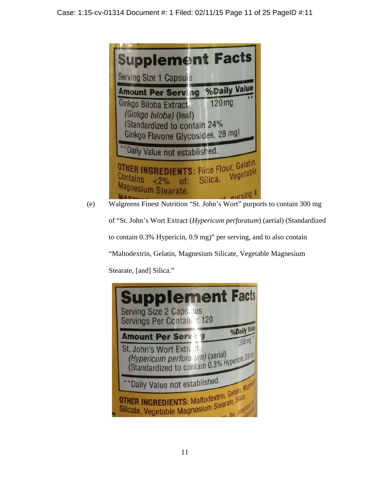

(e) Walgreens Finest Nutrition "St. John's Wort" purports to contain 300 mg of "St. John's Wort Extract (*Hypericum perforatum*) (aerial) (Standardized

to contain 0.3% Hypericin, 0.9 mg)" per serving, and to also contain

"Maltodextrin, Gelatin, Magnesium Silicate, Vegetable Magnesium

Stearate, [and] Silica."

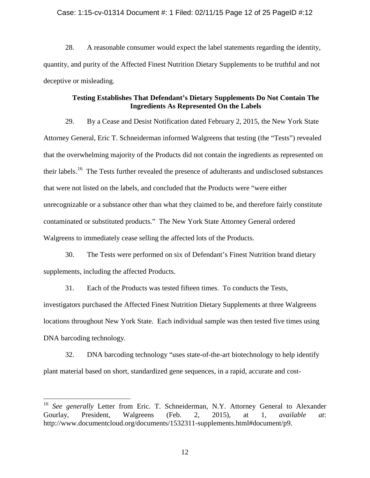### Case: 1:15-cv-01314 Document #: 1 Filed: 02/11/15 Page 12 of 25 PageID #:12

28. A reasonable consumer would expect the label statements regarding the identity, quantity, and purity of the Affected Finest Nutrition Dietary Supplements to be truthful and not deceptive or misleading.

## **Testing Establishes That Defendant's Dietary Supplements Do Not Contain The Ingredients As Represented On the Labels**

29. By a Cease and Desist Notification dated February 2, 2015, the New York State Attorney General, Eric T. Schneiderman informed Walgreens that testing (the "Tests") revealed that the overwhelming majority of the Products did not contain the ingredients as represented on their labels.<sup>16</sup> The Tests further revealed the presence of adulterants and undisclosed substances that were not listed on the labels, and concluded that the Products were "were either unrecognizable or a substance other than what they claimed to be, and therefore fairly constitute contaminated or substituted products." The New York State Attorney General ordered Walgreens to immediately cease selling the affected lots of the Products.

30. The Tests were performed on six of Defendant's Finest Nutrition brand dietary supplements, including the affected Products.

31. Each of the Products was tested fifteen times. To conducts the Tests, investigators purchased the Affected Finest Nutrition Dietary Supplements at three Walgreens locations throughout New York State. Each individual sample was then tested five times using DNA barcoding technology.

<span id="page-11-0"></span>32. DNA barcoding technology "uses state-of-the-art biotechnology to help identify plant material based on short, standardized gene sequences, in a rapid, accurate and cost-

<sup>&</sup>lt;sup>16</sup> See generally Letter from Eric. T. Schneiderman, N.Y. Attorney General to Alexander Gourlay, President, Walgreens (Feb. 2, 2015), at 1, *available at*: http://www.documentcloud.org/documents/1532311-supplements.html#document/p9.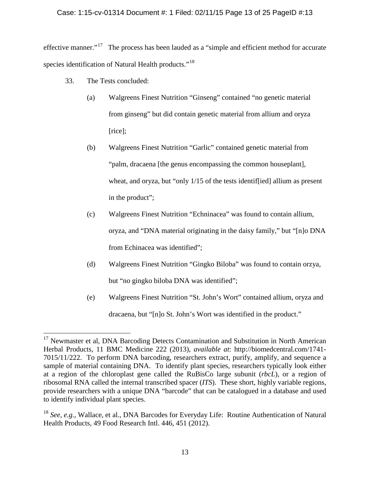## Case: 1:15-cv-01314 Document #: 1 Filed: 02/11/15 Page 13 of 25 PageID #:13

effective manner."<sup>17</sup> The process has been lauded as a "simple and efficient method for accurate species identification of Natural Health products."<sup>[18](#page-12-0)</sup>

- 33. The Tests concluded:
	- (a) Walgreens Finest Nutrition "Ginseng" contained "no genetic material from ginseng" but did contain genetic material from allium and oryza [rice];
	- (b) Walgreens Finest Nutrition "Garlic" contained genetic material from "palm, dracaena [the genus encompassing the common houseplant], wheat, and oryza, but "only 1/15 of the tests identified] allium as present in the product";
	- (c) Walgreens Finest Nutrition "Echninacea" was found to contain allium, oryza, and "DNA material originating in the daisy family," but "[n]o DNA from Echinacea was identified";
	- (d) Walgreens Finest Nutrition "Gingko Biloba" was found to contain orzya, but "no gingko biloba DNA was identified";
	- (e) Walgreens Finest Nutrition "St. John's Wort" contained allium, oryza and dracaena, but "[n]o St. John's Wort was identified in the product."

<span id="page-12-1"></span><sup>&</sup>lt;sup>17</sup> Newmaster et al, DNA Barcoding Detects Contamination and Substitution in North American Herbal Products, 11 BMC Medicine 222 (2013), *available at*: http://biomedcentral.com/1741- 7015/11/222. To perform DNA barcoding, researchers extract, purify, amplify, and sequence a sample of material containing DNA. To identify plant species, researchers typically look either at a region of the chloroplast gene called the RuBisCo large subunit (*rbcL*), or a region of ribosomal RNA called the internal transcribed spacer (*ITS*). These short, highly variable regions, provide researchers with a unique DNA "barcode" that can be catalogued in a database and used to identify individual plant species.

<span id="page-12-0"></span><sup>&</sup>lt;sup>18</sup> See, e.g., Wallace, et al., DNA Barcodes for Everyday Life: Routine Authentication of Natural Health Products, 49 Food Research Intl. 446, 451 (2012).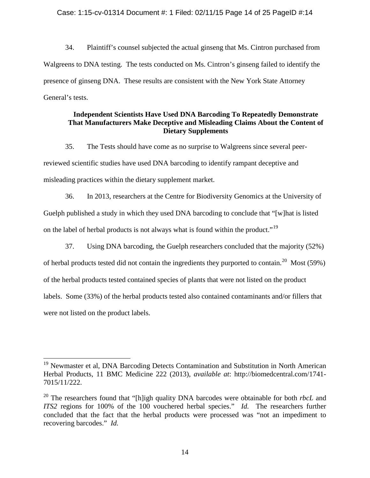## Case: 1:15-cv-01314 Document #: 1 Filed: 02/11/15 Page 14 of 25 PageID #:14

34. Plaintiff's counsel subjected the actual ginseng that Ms. Cintron purchased from Walgreens to DNA testing. The tests conducted on Ms. Cintron's ginseng failed to identify the presence of ginseng DNA. These results are consistent with the New York State Attorney General's tests.

## **Independent Scientists Have Used DNA Barcoding To Repeatedly Demonstrate That Manufacturers Make Deceptive and Misleading Claims About the Content of Dietary Supplements**

35. The Tests should have come as no surprise to Walgreens since several peerreviewed scientific studies have used DNA barcoding to identify rampant deceptive and misleading practices within the dietary supplement market.

36. In 2013, researchers at the Centre for Biodiversity Genomics at the University of Guelph published a study in which they used DNA barcoding to conclude that "[w]hat is listed on the label of herbal products is not always what is found within the product."<sup>[19](#page-12-1)</sup>

37. Using DNA barcoding, the Guelph researchers concluded that the majority (52%) of herbal products tested did not contain the ingredients they purported to contain.<sup>20</sup> Most (59%) of the herbal products tested contained species of plants that were not listed on the product labels. Some (33%) of the herbal products tested also contained contaminants and/or fillers that were not listed on the product labels.

<sup>&</sup>lt;sup>19</sup> Newmaster et al, DNA Barcoding Detects Contamination and Substitution in North American Herbal Products, 11 BMC Medicine 222 (2013), *available at*: http://biomedcentral.com/1741- 7015/11/222.

<span id="page-13-1"></span><span id="page-13-0"></span><sup>20</sup> The researchers found that "[h]igh quality DNA barcodes were obtainable for both *rbcL* and *ITS2* regions for 100% of the 100 vouchered herbal species." *Id.* The researchers further concluded that the fact that the herbal products were processed was "not an impediment to recovering barcodes." *Id.*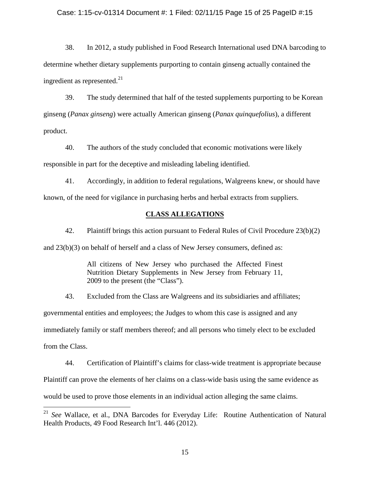## Case: 1:15-cv-01314 Document #: 1 Filed: 02/11/15 Page 15 of 25 PageID #:15

38. In 2012, a study published in Food Research International used DNA barcoding to determine whether dietary supplements purporting to contain ginseng actually contained the ingredient as represented.<sup>[21](#page-13-1)</sup>

39. The study determined that half of the tested supplements purporting to be Korean ginseng (*Panax ginseng*) were actually American ginseng (*Panax quinquefolius*), a different product.

40. The authors of the study concluded that economic motivations were likely responsible in part for the deceptive and misleading labeling identified.

41. Accordingly, in addition to federal regulations, Walgreens knew, or should have known, of the need for vigilance in purchasing herbs and herbal extracts from suppliers.

## **CLASS ALLEGATIONS**

42. Plaintiff brings this action pursuant to Federal Rules of Civil Procedure 23(b)(2) and 23(b)(3) on behalf of herself and a class of New Jersey consumers, defined as:

> All citizens of New Jersey who purchased the Affected Finest Nutrition Dietary Supplements in New Jersey from February 11, 2009 to the present (the "Class").

43. Excluded from the Class are Walgreens and its subsidiaries and affiliates; governmental entities and employees; the Judges to whom this case is assigned and any immediately family or staff members thereof; and all persons who timely elect to be excluded from the Class.

44. Certification of Plaintiff's claims for class-wide treatment is appropriate because

Plaintiff can prove the elements of her claims on a class-wide basis using the same evidence as

would be used to prove those elements in an individual action alleging the same claims.

 <sup>21</sup> *See* Wallace, et al., DNA Barcodes for Everyday Life: Routine Authentication of Natural Health Products, 49 Food Research Int'l. 446 (2012).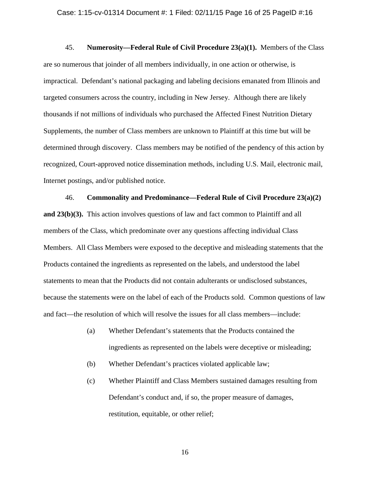45. **Numerosity—Federal Rule of Civil Procedure 23(a)(1).** Members of the Class are so numerous that joinder of all members individually, in one action or otherwise, is impractical. Defendant's national packaging and labeling decisions emanated from Illinois and targeted consumers across the country, including in New Jersey. Although there are likely thousands if not millions of individuals who purchased the Affected Finest Nutrition Dietary Supplements, the number of Class members are unknown to Plaintiff at this time but will be determined through discovery. Class members may be notified of the pendency of this action by recognized, Court-approved notice dissemination methods, including U.S. Mail, electronic mail, Internet postings, and/or published notice.

46. **Commonality and Predominance—Federal Rule of Civil Procedure 23(a)(2) and 23(b)(3).** This action involves questions of law and fact common to Plaintiff and all members of the Class, which predominate over any questions affecting individual Class Members. All Class Members were exposed to the deceptive and misleading statements that the Products contained the ingredients as represented on the labels, and understood the label statements to mean that the Products did not contain adulterants or undisclosed substances, because the statements were on the label of each of the Products sold. Common questions of law and fact—the resolution of which will resolve the issues for all class members—include:

- (a) Whether Defendant's statements that the Products contained the ingredients as represented on the labels were deceptive or misleading;
- (b) Whether Defendant's practices violated applicable law;
- (c) Whether Plaintiff and Class Members sustained damages resulting from Defendant's conduct and, if so, the proper measure of damages, restitution, equitable, or other relief;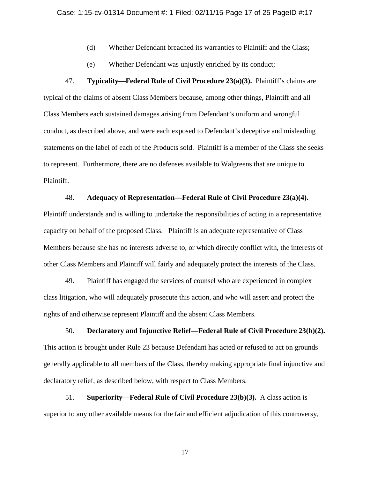- (d) Whether Defendant breached its warranties to Plaintiff and the Class;
- (e) Whether Defendant was unjustly enriched by its conduct;

47. **Typicality—Federal Rule of Civil Procedure 23(a)(3).** Plaintiff's claims are typical of the claims of absent Class Members because, among other things, Plaintiff and all Class Members each sustained damages arising from Defendant's uniform and wrongful conduct, as described above, and were each exposed to Defendant's deceptive and misleading statements on the label of each of the Products sold. Plaintiff is a member of the Class she seeks to represent. Furthermore, there are no defenses available to Walgreens that are unique to Plaintiff.

## 48. **Adequacy of Representation—Federal Rule of Civil Procedure 23(a)(4).**

Plaintiff understands and is willing to undertake the responsibilities of acting in a representative capacity on behalf of the proposed Class. Plaintiff is an adequate representative of Class Members because she has no interests adverse to, or which directly conflict with, the interests of other Class Members and Plaintiff will fairly and adequately protect the interests of the Class.

49. Plaintiff has engaged the services of counsel who are experienced in complex class litigation, who will adequately prosecute this action, and who will assert and protect the rights of and otherwise represent Plaintiff and the absent Class Members.

50. **Declaratory and Injunctive Relief—Federal Rule of Civil Procedure 23(b)(2).** This action is brought under Rule 23 because Defendant has acted or refused to act on grounds generally applicable to all members of the Class, thereby making appropriate final injunctive and declaratory relief, as described below, with respect to Class Members.

51. **Superiority—Federal Rule of Civil Procedure 23(b)(3).** A class action is superior to any other available means for the fair and efficient adjudication of this controversy,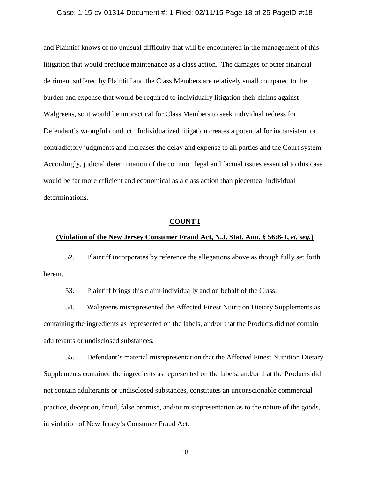#### Case: 1:15-cv-01314 Document #: 1 Filed: 02/11/15 Page 18 of 25 PageID #:18

and Plaintiff knows of no unusual difficulty that will be encountered in the management of this litigation that would preclude maintenance as a class action. The damages or other financial detriment suffered by Plaintiff and the Class Members are relatively small compared to the burden and expense that would be required to individually litigation their claims against Walgreens, so it would be impractical for Class Members to seek individual redress for Defendant's wrongful conduct. Individualized litigation creates a potential for inconsistent or contradictory judgments and increases the delay and expense to all parties and the Court system. Accordingly, judicial determination of the common legal and factual issues essential to this case would be far more efficient and economical as a class action than piecemeal individual determinations.

### **COUNT I**

### **(Violation of the New Jersey Consumer Fraud Act, N.J. Stat. Ann. § 56:8-1,** *et. seq.***)**

52. Plaintiff incorporates by reference the allegations above as though fully set forth herein.

53. Plaintiff brings this claim individually and on behalf of the Class.

54. Walgreens misrepresented the Affected Finest Nutrition Dietary Supplements as containing the ingredients as represented on the labels, and/or that the Products did not contain adulterants or undisclosed substances.

55. Defendant's material misrepresentation that the Affected Finest Nutrition Dietary Supplements contained the ingredients as represented on the labels, and/or that the Products did not contain adulterants or undisclosed substances, constitutes an unconscionable commercial practice, deception, fraud, false promise, and/or misrepresentation as to the nature of the goods, in violation of New Jersey's Consumer Fraud Act.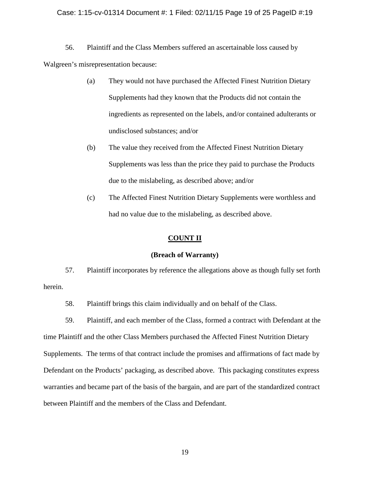### Case: 1:15-cv-01314 Document #: 1 Filed: 02/11/15 Page 19 of 25 PageID #:19

56. Plaintiff and the Class Members suffered an ascertainable loss caused by Walgreen's misrepresentation because:

- (a) They would not have purchased the Affected Finest Nutrition Dietary Supplements had they known that the Products did not contain the ingredients as represented on the labels, and/or contained adulterants or undisclosed substances; and/or
- (b) The value they received from the Affected Finest Nutrition Dietary Supplements was less than the price they paid to purchase the Products due to the mislabeling, as described above; and/or
- (c) The Affected Finest Nutrition Dietary Supplements were worthless and had no value due to the mislabeling, as described above.

## **COUNT II**

### **(Breach of Warranty)**

57. Plaintiff incorporates by reference the allegations above as though fully set forth herein.

58. Plaintiff brings this claim individually and on behalf of the Class.

59. Plaintiff, and each member of the Class, formed a contract with Defendant at the time Plaintiff and the other Class Members purchased the Affected Finest Nutrition Dietary Supplements. The terms of that contract include the promises and affirmations of fact made by Defendant on the Products' packaging, as described above. This packaging constitutes express warranties and became part of the basis of the bargain, and are part of the standardized contract between Plaintiff and the members of the Class and Defendant.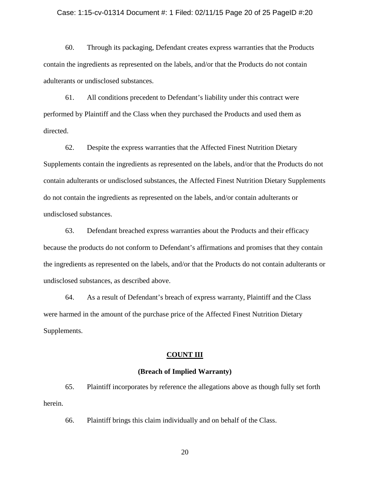#### Case: 1:15-cv-01314 Document #: 1 Filed: 02/11/15 Page 20 of 25 PageID #:20

60. Through its packaging, Defendant creates express warranties that the Products contain the ingredients as represented on the labels, and/or that the Products do not contain adulterants or undisclosed substances.

61. All conditions precedent to Defendant's liability under this contract were performed by Plaintiff and the Class when they purchased the Products and used them as directed.

62. Despite the express warranties that the Affected Finest Nutrition Dietary Supplements contain the ingredients as represented on the labels, and/or that the Products do not contain adulterants or undisclosed substances, the Affected Finest Nutrition Dietary Supplements do not contain the ingredients as represented on the labels, and/or contain adulterants or undisclosed substances.

63. Defendant breached express warranties about the Products and their efficacy because the products do not conform to Defendant's affirmations and promises that they contain the ingredients as represented on the labels, and/or that the Products do not contain adulterants or undisclosed substances, as described above.

64. As a result of Defendant's breach of express warranty, Plaintiff and the Class were harmed in the amount of the purchase price of the Affected Finest Nutrition Dietary Supplements.

## **COUNT III**

## **(Breach of Implied Warranty)**

65. Plaintiff incorporates by reference the allegations above as though fully set forth herein.

66. Plaintiff brings this claim individually and on behalf of the Class.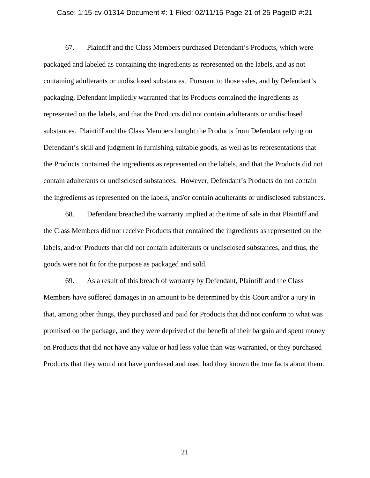#### Case: 1:15-cv-01314 Document #: 1 Filed: 02/11/15 Page 21 of 25 PageID #:21

67. Plaintiff and the Class Members purchased Defendant's Products, which were packaged and labeled as containing the ingredients as represented on the labels, and as not containing adulterants or undisclosed substances. Pursuant to those sales, and by Defendant's packaging, Defendant impliedly warranted that its Products contained the ingredients as represented on the labels, and that the Products did not contain adulterants or undisclosed substances. Plaintiff and the Class Members bought the Products from Defendant relying on Defendant's skill and judgment in furnishing suitable goods, as well as its representations that the Products contained the ingredients as represented on the labels, and that the Products did not contain adulterants or undisclosed substances. However, Defendant's Products do not contain the ingredients as represented on the labels, and/or contain adulterants or undisclosed substances.

68. Defendant breached the warranty implied at the time of sale in that Plaintiff and the Class Members did not receive Products that contained the ingredients as represented on the labels, and/or Products that did not contain adulterants or undisclosed substances, and thus, the goods were not fit for the purpose as packaged and sold.

69. As a result of this breach of warranty by Defendant, Plaintiff and the Class Members have suffered damages in an amount to be determined by this Court and/or a jury in that, among other things, they purchased and paid for Products that did not conform to what was promised on the package, and they were deprived of the benefit of their bargain and spent money on Products that did not have any value or had less value than was warranted, or they purchased Products that they would not have purchased and used had they known the true facts about them.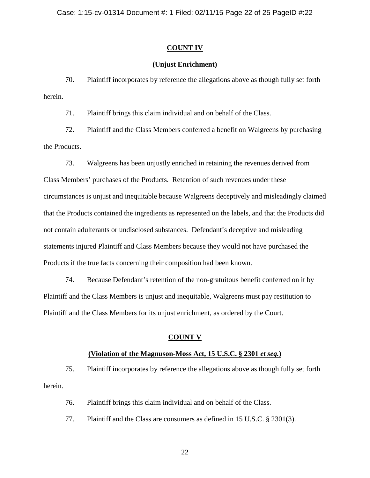## **COUNT IV**

## **(Unjust Enrichment)**

70. Plaintiff incorporates by reference the allegations above as though fully set forth herein.

71. Plaintiff brings this claim individual and on behalf of the Class.

72. Plaintiff and the Class Members conferred a benefit on Walgreens by purchasing the Products.

73. Walgreens has been unjustly enriched in retaining the revenues derived from Class Members' purchases of the Products. Retention of such revenues under these circumstances is unjust and inequitable because Walgreens deceptively and misleadingly claimed that the Products contained the ingredients as represented on the labels, and that the Products did not contain adulterants or undisclosed substances. Defendant's deceptive and misleading statements injured Plaintiff and Class Members because they would not have purchased the Products if the true facts concerning their composition had been known.

74. Because Defendant's retention of the non-gratuitous benefit conferred on it by Plaintiff and the Class Members is unjust and inequitable, Walgreens must pay restitution to Plaintiff and the Class Members for its unjust enrichment, as ordered by the Court.

### **COUNT V**

### **(Violation of the Magnuson-Moss Act, 15 U.S.C. § 2301** *et seq.***)**

75. Plaintiff incorporates by reference the allegations above as though fully set forth herein.

76. Plaintiff brings this claim individual and on behalf of the Class.

77. Plaintiff and the Class are consumers as defined in 15 U.S.C. § 2301(3).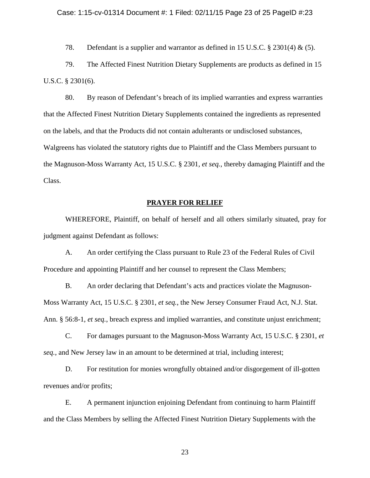78. Defendant is a supplier and warrantor as defined in 15 U.S.C. § 2301(4) & (5).

79. The Affected Finest Nutrition Dietary Supplements are products as defined in 15 U.S.C. § 2301(6).

80. By reason of Defendant's breach of its implied warranties and express warranties that the Affected Finest Nutrition Dietary Supplements contained the ingredients as represented on the labels, and that the Products did not contain adulterants or undisclosed substances, Walgreens has violated the statutory rights due to Plaintiff and the Class Members pursuant to the Magnuson-Moss Warranty Act, 15 U.S.C. § 2301*, et seq.*, thereby damaging Plaintiff and the Class.

## **PRAYER FOR RELIEF**

WHEREFORE, Plaintiff, on behalf of herself and all others similarly situated, pray for judgment against Defendant as follows:

A. An order certifying the Class pursuant to Rule 23 of the Federal Rules of Civil Procedure and appointing Plaintiff and her counsel to represent the Class Members;

B. An order declaring that Defendant's acts and practices violate the Magnuson-Moss Warranty Act, 15 U.S.C. § 2301, *et seq.*, the New Jersey Consumer Fraud Act, N.J. Stat. Ann. § 56:8-1, *et seq.*, breach express and implied warranties, and constitute unjust enrichment;

C. For damages pursuant to the Magnuson-Moss Warranty Act, 15 U.S.C. § 2301, *et seq.*, and New Jersey law in an amount to be determined at trial, including interest;

D. For restitution for monies wrongfully obtained and/or disgorgement of ill-gotten revenues and/or profits;

E. A permanent injunction enjoining Defendant from continuing to harm Plaintiff and the Class Members by selling the Affected Finest Nutrition Dietary Supplements with the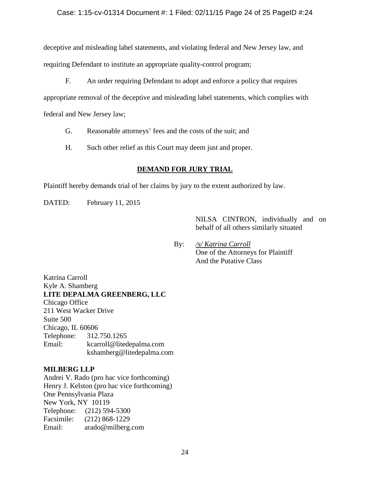## Case: 1:15-cv-01314 Document #: 1 Filed: 02/11/15 Page 24 of 25 PageID #:24

deceptive and misleading label statements, and violating federal and New Jersey law, and requiring Defendant to institute an appropriate quality-control program;

F. An order requiring Defendant to adopt and enforce a policy that requires

appropriate removal of the deceptive and misleading label statements, which complies with

federal and New Jersey law;

- G. Reasonable attorneys' fees and the costs of the suit; and
- H. Such other relief as this Court may deem just and proper.

## **DEMAND FOR JURY TRIAL**

Plaintiff hereby demands trial of her claims by jury to the extent authorized by law.

DATED: February 11, 2015

NILSA CINTRON, individually and on behalf of all others similarly situated

By: */s/ Katrina Carroll* One of the Attorneys for Plaintiff And the Putative Class

Katrina Carroll Kyle A. Shamberg **LITE DEPALMA GREENBERG, LLC** Chicago Office 211 West Wacker Drive Suite 500 Chicago, IL 60606 Telephone: 312.750.1265 Email: kcarroll@litedepalma.com kshamberg@litedepalma.com

## **MILBERG LLP**

Andrei V. Rado (pro hac vice forthcoming) Henry J. Kelston (pro hac vice forthcoming) One Pennsylvania Plaza New York, NY 10119 Telephone: (212) 594-5300 Facsimile: (212) 868-1229 Email: arado@milberg.com